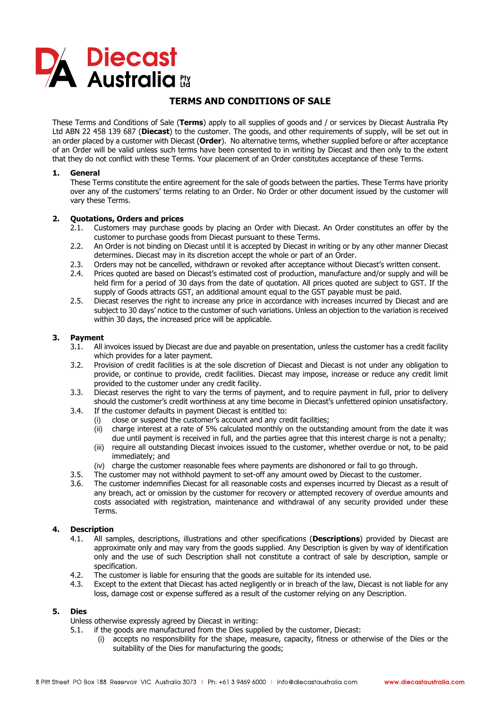

# **TERMS AND CONDITIONS OF SALE**

These Terms and Conditions of Sale (**Terms**) apply to all supplies of goods and / or services by Diecast Australia Pty Ltd ABN 22 458 139 687 (**Diecast**) to the customer. The goods, and other requirements of supply, will be set out in an order placed by a customer with Diecast (**Order**). No alternative terms, whether supplied before or after acceptance of an Order will be valid unless such terms have been consented to in writing by Diecast and then only to the extent that they do not conflict with these Terms. Your placement of an Order constitutes acceptance of these Terms.

## **1. General**

These Terms constitute the entire agreement for the sale of goods between the parties. These Terms have priority over any of the customers' terms relating to an Order. No Order or other document issued by the customer will vary these Terms.

## **2. Quotations, Orders and prices**

- 2.1. Customers may purchase goods by placing an Order with Diecast. An Order constitutes an offer by the customer to purchase goods from Diecast pursuant to these Terms.
- 2.2. An Order is not binding on Diecast until it is accepted by Diecast in writing or by any other manner Diecast determines. Diecast may in its discretion accept the whole or part of an Order.
- 2.3. Orders may not be cancelled, withdrawn or revoked after acceptance without Diecast's written consent.
- 2.4. Prices quoted are based on Diecast's estimated cost of production, manufacture and/or supply and will be held firm for a period of 30 days from the date of quotation. All prices quoted are subject to GST. If the supply of Goods attracts GST, an additional amount equal to the GST payable must be paid.
- 2.5. Diecast reserves the right to increase any price in accordance with increases incurred by Diecast and are subject to 30 days' notice to the customer of such variations. Unless an objection to the variation is received within 30 days, the increased price will be applicable.

### **3. Payment**

- 3.1. All invoices issued by Diecast are due and payable on presentation, unless the customer has a credit facility which provides for a later payment.
- 3.2. Provision of credit facilities is at the sole discretion of Diecast and Diecast is not under any obligation to provide, or continue to provide, credit facilities. Diecast may impose, increase or reduce any credit limit provided to the customer under any credit facility.
- 3.3. Diecast reserves the right to vary the terms of payment, and to require payment in full, prior to delivery should the customer's credit worthiness at any time become in Diecast's unfettered opinion unsatisfactory.
- 3.4. If the customer defaults in payment Diecast is entitled to:
	- (i) close or suspend the customer's account and any credit facilities;
		- (ii) charge interest at a rate of 5% calculated monthly on the outstanding amount from the date it was due until payment is received in full, and the parties agree that this interest charge is not a penalty;
		- (iii) require all outstanding Diecast invoices issued to the customer, whether overdue or not, to be paid immediately; and
	- (iv) charge the customer reasonable fees where payments are dishonored or fail to go through.
- 3.5. The customer may not withhold payment to set-off any amount owed by Diecast to the customer.
- 3.6. The customer indemnifies Diecast for all reasonable costs and expenses incurred by Diecast as a result of any breach, act or omission by the customer for recovery or attempted recovery of overdue amounts and costs associated with registration, maintenance and withdrawal of any security provided under these Terms.

## **4. Description**

- 4.1. All samples, descriptions, illustrations and other specifications (**Descriptions**) provided by Diecast are approximate only and may vary from the goods supplied. Any Description is given by way of identification only and the use of such Description shall not constitute a contract of sale by description, sample or specification.
- 4.2. The customer is liable for ensuring that the goods are suitable for its intended use.
- 4.3. Except to the extent that Diecast has acted negligently or in breach of the law, Diecast is not liable for any loss, damage cost or expense suffered as a result of the customer relying on any Description.

#### **5. Dies**

Unless otherwise expressly agreed by Diecast in writing:

- 5.1. if the goods are manufactured from the Dies supplied by the customer, Diecast:
	- (i) accepts no responsibility for the shape, measure, capacity, fitness or otherwise of the Dies or the suitability of the Dies for manufacturing the goods;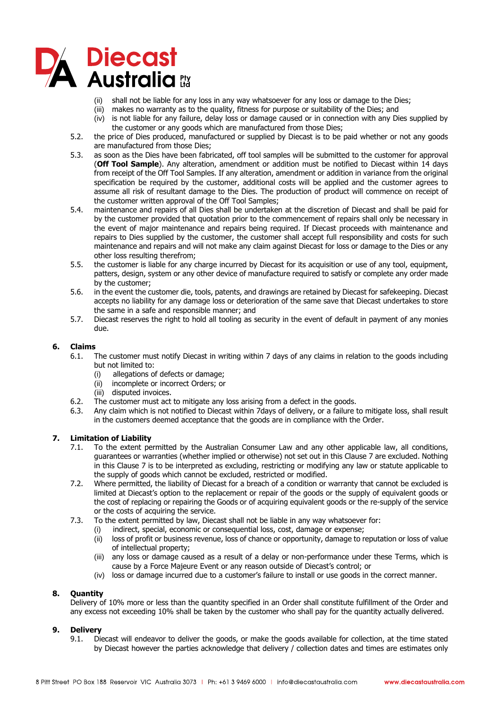

- (ii) shall not be liable for any loss in any way whatsoever for any loss or damage to the Dies;
- (iii) makes no warranty as to the quality, fitness for purpose or suitability of the Dies; and
- (iv) is not liable for any failure, delay loss or damage caused or in connection with any Dies supplied by the customer or any goods which are manufactured from those Dies;
- 5.2. the price of Dies produced, manufactured or supplied by Diecast is to be paid whether or not any goods are manufactured from those Dies;
- 5.3. as soon as the Dies have been fabricated, off tool samples will be submitted to the customer for approval (**Off Tool Sample**). Any alteration, amendment or addition must be notified to Diecast within 14 days from receipt of the Off Tool Samples. If any alteration, amendment or addition in variance from the original specification be required by the customer, additional costs will be applied and the customer agrees to assume all risk of resultant damage to the Dies. The production of product will commence on receipt of the customer written approval of the Off Tool Samples;
- 5.4. maintenance and repairs of all Dies shall be undertaken at the discretion of Diecast and shall be paid for by the customer provided that quotation prior to the commencement of repairs shall only be necessary in the event of major maintenance and repairs being required. If Diecast proceeds with maintenance and repairs to Dies supplied by the customer, the customer shall accept full responsibility and costs for such maintenance and repairs and will not make any claim against Diecast for loss or damage to the Dies or any other loss resulting therefrom;
- 5.5. the customer is liable for any charge incurred by Diecast for its acquisition or use of any tool, equipment, patters, design, system or any other device of manufacture required to satisfy or complete any order made by the customer;
- 5.6. in the event the customer die, tools, patents, and drawings are retained by Diecast for safekeeping. Diecast accepts no liability for any damage loss or deterioration of the same save that Diecast undertakes to store the same in a safe and responsible manner; and
- 5.7. Diecast reserves the right to hold all tooling as security in the event of default in payment of any monies due.

## **6. Claims**

- 6.1. The customer must notify Diecast in writing within 7 days of any claims in relation to the goods including but not limited to:
	- (i) allegations of defects or damage;
	- (ii) incomplete or incorrect Orders; or
	- (iii) disputed invoices.
- 6.2. The customer must act to mitigate any loss arising from a defect in the goods.
- 6.3. Any claim which is not notified to Diecast within 7days of delivery, or a failure to mitigate loss, shall result in the customers deemed acceptance that the goods are in compliance with the Order.

## **7. Limitation of Liability**

- 7.1. To the extent permitted by the Australian Consumer Law and any other applicable law, all conditions, guarantees or warranties (whether implied or otherwise) not set out in this Clause 7 are excluded. Nothing in this Clause 7 is to be interpreted as excluding, restricting or modifying any law or statute applicable to the supply of goods which cannot be excluded, restricted or modified.
- 7.2. Where permitted, the liability of Diecast for a breach of a condition or warranty that cannot be excluded is limited at Diecast's option to the replacement or repair of the goods or the supply of equivalent goods or the cost of replacing or repairing the Goods or of acquiring equivalent goods or the re-supply of the service or the costs of acquiring the service.
- 7.3. To the extent permitted by law, Diecast shall not be liable in any way whatsoever for:
	- (i) indirect, special, economic or consequential loss, cost, damage or expense;
	- (ii) loss of profit or business revenue, loss of chance or opportunity, damage to reputation or loss of value of intellectual property;
	- (iii) any loss or damage caused as a result of a delay or non-performance under these Terms, which is cause by a Force Majeure Event or any reason outside of Diecast's control; or
	- (iv) loss or damage incurred due to a customer's failure to install or use goods in the correct manner.

## **8. Quantity**

Delivery of 10% more or less than the quantity specified in an Order shall constitute fulfillment of the Order and any excess not exceeding 10% shall be taken by the customer who shall pay for the quantity actually delivered.

## **9. Delivery**

9.1. Diecast will endeavor to deliver the goods, or make the goods available for collection, at the time stated by Diecast however the parties acknowledge that delivery / collection dates and times are estimates only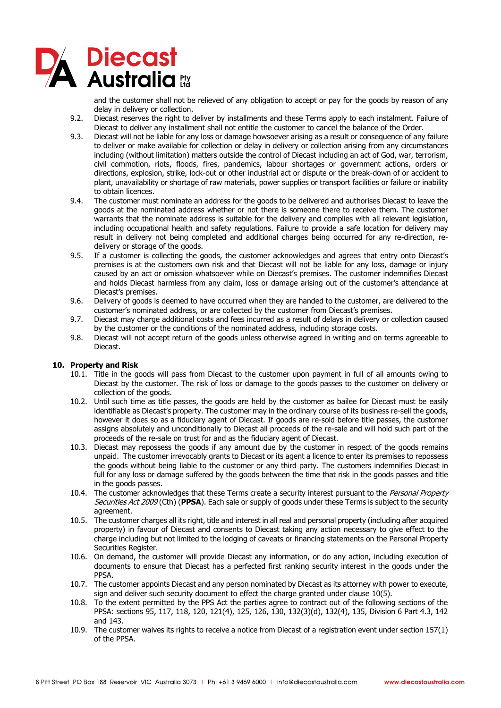

and the customer shall not be relieved of any obligation to accept or pay for the goods by reason of any delay in delivery or collection.

- 9.2. Diecast reserves the right to deliver by installments and these Terms apply to each instalment. Failure of Diecast to deliver any installment shall not entitle the customer to cancel the balance of the Order.
- 9.3. Diecast will not be liable for any loss or damage howsoever arising as a result or consequence of any failure to deliver or make available for collection or delay in delivery or collection arising from any circumstances including (without limitation) matters outside the control of Diecast including an act of God, war, terrorism, civil commotion, riots, floods, fires, pandemics, labour shortages or government actions, orders or directions, explosion, strike, lock-out or other industrial act or dispute or the break-down of or accident to plant, unavailability or shortage of raw materials, power supplies or transport facilities or failure or inability to obtain licences.
- 9.4. The customer must nominate an address for the goods to be delivered and authorises Diecast to leave the goods at the nominated address whether or not there is someone there to receive them. The customer warrants that the nominate address is suitable for the delivery and complies with all relevant legislation, including occupational health and safety regulations. Failure to provide a safe location for delivery may result in delivery not being completed and additional charges being occurred for any re-direction, redelivery or storage of the goods.
- 9.5. If a customer is collecting the goods, the customer acknowledges and agrees that entry onto Diecast's premises is at the customers own risk and that Diecast will not be liable for any loss, damage or injury caused by an act or omission whatsoever while on Diecast's premises. The customer indemnifies Diecast and holds Diecast harmless from any claim, loss or damage arising out of the customer's attendance at Diecast's premises.
- 9.6. Delivery of goods is deemed to have occurred when they are handed to the customer, are delivered to the customer's nominated address, or are collected by the customer from Diecast's premises.
- 9.7. Diecast may charge additional costs and fees incurred as a result of delays in delivery or collection caused by the customer or the conditions of the nominated address, including storage costs.
- 9.8. Diecast will not accept return of the goods unless otherwise agreed in writing and on terms agreeable to Diecast.

## **10. Property and Risk**

- 10.1. Title in the goods will pass from Diecast to the customer upon payment in full of all amounts owing to Diecast by the customer. The risk of loss or damage to the goods passes to the customer on delivery or collection of the goods.
- 10.2. Until such time as title passes, the goods are held by the customer as bailee for Diecast must be easily identifiable as Diecast's property. The customer may in the ordinary course of its business re-sell the goods, however it does so as a fiduciary agent of Diecast. If goods are re-sold before title passes, the customer assigns absolutely and unconditionally to Diecast all proceeds of the re-sale and will hold such part of the proceeds of the re-sale on trust for and as the fiduciary agent of Diecast.
- 10.3. Diecast may repossess the goods if any amount due by the customer in respect of the goods remains unpaid. The customer irrevocably grants to Diecast or its agent a licence to enter its premises to repossess the goods without being liable to the customer or any third party. The customers indemnifies Diecast in full for any loss or damage suffered by the goods between the time that risk in the goods passes and title in the goods passes.
- 10.4. The customer acknowledges that these Terms create a security interest pursuant to the Personal Property Securities Act 2009 (Cth) (**PPSA**). Each sale or supply of goods under these Terms is subject to the security agreement.
- 10.5. The customer charges all its right, title and interest in all real and personal property (including after acquired property) in favour of Diecast and consents to Diecast taking any action necessary to give effect to the charge including but not limited to the lodging of caveats or financing statements on the Personal Property Securities Register.
- 10.6. On demand, the customer will provide Diecast any information, or do any action, including execution of documents to ensure that Diecast has a perfected first ranking security interest in the goods under the PPSA.
- 10.7. The customer appoints Diecast and any person nominated by Diecast as its attorney with power to execute, sign and deliver such security document to effect the charge granted under clause 10(5).
- 10.8. To the extent permitted by the PPS Act the parties agree to contract out of the following sections of the PPSA: sections 95, 117, 118, 120, 121(4), 125, 126, 130, 132(3)(d), 132(4), 135, Division 6 Part 4.3, 142 and 143.
- 10.9. The customer waives its rights to receive a notice from Diecast of a registration event under section 157(1) of the PPSA.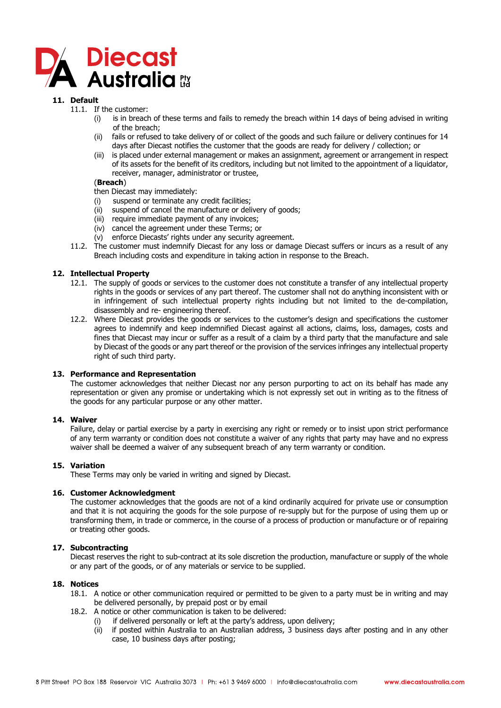

## **11. Default**

- 11.1. If the customer:
	- (i) is in breach of these terms and fails to remedy the breach within 14 days of being advised in writing of the breach;
	- (ii) fails or refused to take delivery of or collect of the goods and such failure or delivery continues for 14 days after Diecast notifies the customer that the goods are ready for delivery / collection; or
	- (iii) is placed under external management or makes an assignment, agreement or arrangement in respect of its assets for the benefit of its creditors, including but not limited to the appointment of a liquidator, receiver, manager, administrator or trustee,

### (**Breach**)

then Diecast may immediately:

- (i) suspend or terminate any credit facilities;
- (ii) suspend of cancel the manufacture or delivery of goods;
- (iii) require immediate payment of any invoices;
- (iv) cancel the agreement under these Terms; or
- (v) enforce Diecasts' rights under any security agreement.
- 11.2. The customer must indemnify Diecast for any loss or damage Diecast suffers or incurs as a result of any Breach including costs and expenditure in taking action in response to the Breach.

### **12. Intellectual Property**

- 12.1. The supply of goods or services to the customer does not constitute a transfer of any intellectual property rights in the goods or services of any part thereof. The customer shall not do anything inconsistent with or in infringement of such intellectual property rights including but not limited to the de-compilation, disassembly and re- engineering thereof.
- 12.2. Where Diecast provides the goods or services to the customer's design and specifications the customer agrees to indemnify and keep indemnified Diecast against all actions, claims, loss, damages, costs and fines that Diecast may incur or suffer as a result of a claim by a third party that the manufacture and sale by Diecast of the goods or any part thereof or the provision of the services infringes any intellectual property right of such third party.

#### **13. Performance and Representation**

The customer acknowledges that neither Diecast nor any person purporting to act on its behalf has made any representation or given any promise or undertaking which is not expressly set out in writing as to the fitness of the goods for any particular purpose or any other matter.

#### **14. Waiver**

Failure, delay or partial exercise by a party in exercising any right or remedy or to insist upon strict performance of any term warranty or condition does not constitute a waiver of any rights that party may have and no express waiver shall be deemed a waiver of any subsequent breach of any term warranty or condition.

## **15. Variation**

These Terms may only be varied in writing and signed by Diecast.

## **16. Customer Acknowledgment**

The customer acknowledges that the goods are not of a kind ordinarily acquired for private use or consumption and that it is not acquiring the goods for the sole purpose of re-supply but for the purpose of using them up or transforming them, in trade or commerce, in the course of a process of production or manufacture or of repairing or treating other goods.

#### **17. Subcontracting**

Diecast reserves the right to sub-contract at its sole discretion the production, manufacture or supply of the whole or any part of the goods, or of any materials or service to be supplied.

### **18. Notices**

- 18.1. A notice or other communication required or permitted to be given to a party must be in writing and may be delivered personally, by prepaid post or by email
- 18.2. A notice or other communication is taken to be delivered:
	- (i) if delivered personally or left at the party's address, upon delivery;
	- (ii) if posted within Australia to an Australian address, 3 business days after posting and in any other case, 10 business days after posting;